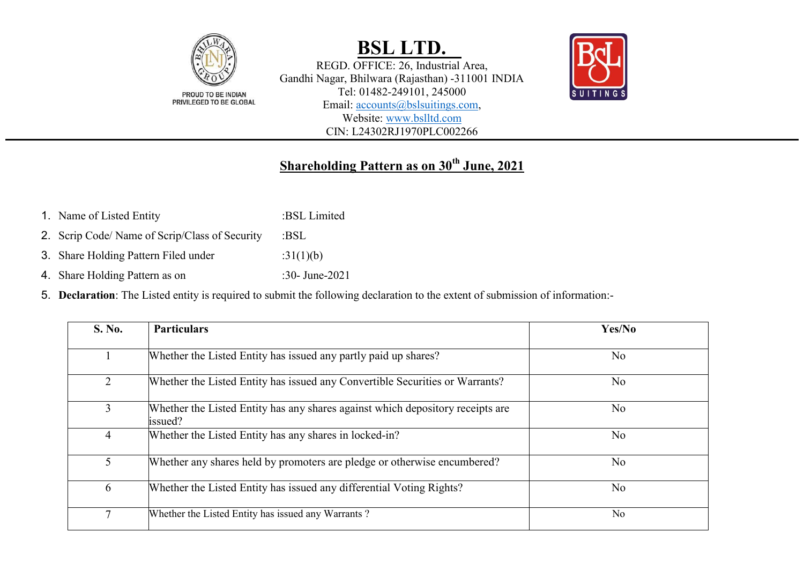

REGD. OFFICE: 26, Industrial Area, Gandhi Nagar, Bhilwara (Rajasthan) -311001 INDIA Tel: 01482-249101, 245000 Email: [accounts@bslsuitings.com,](mailto:accounts@bslsuitings.com) Website: [www.bslltd.com](http://www.bslltd.com/)

CIN: L24302RJ1970PLC002266



### **Shareholding Pattern as on 30th June, 2021**

- 1. Name of Listed Entity :BSL Limited
- 2. Scrip Code/ Name of Scrip/Class of Security :BSL
- 3. Share Holding Pattern Filed under :31(1)(b)
- 4. Share Holding Pattern as on :30- June-2021
- 5. **Declaration**: The Listed entity is required to submit the following declaration to the extent of submission of information:-

| <b>S. No.</b> | <b>Particulars</b>                                                                        | Yes/No         |
|---------------|-------------------------------------------------------------------------------------------|----------------|
|               | Whether the Listed Entity has issued any partly paid up shares?                           | N <sub>o</sub> |
| 2             | Whether the Listed Entity has issued any Convertible Securities or Warrants?              | N <sub>o</sub> |
| 3             | Whether the Listed Entity has any shares against which depository receipts are<br>issued? | N <sub>o</sub> |
| 4             | Whether the Listed Entity has any shares in locked-in?                                    | N <sub>o</sub> |
| 5             | Whether any shares held by promoters are pledge or otherwise encumbered?                  | N <sub>o</sub> |
| 6             | Whether the Listed Entity has issued any differential Voting Rights?                      | N <sub>o</sub> |
|               | Whether the Listed Entity has issued any Warrants?                                        | N <sub>o</sub> |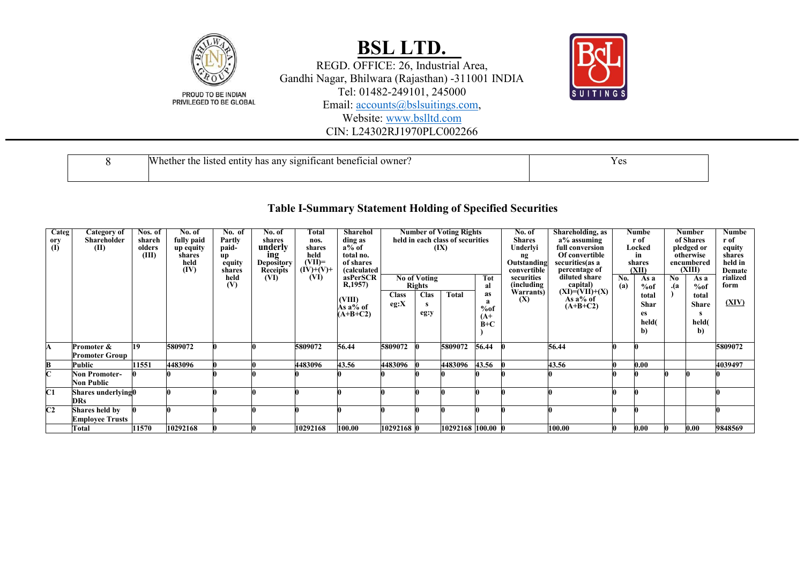

REGD. OFFICE: 26, Industrial Area, Gandhi Nagar, Bhilwara (Rajasthan) -311001 INDIA Tel: 01482-249101, 245000

Email: [accounts@bslsuitings.com,](mailto:accounts@bslsuitings.com)

Website: [www.bslltd.com](http://www.bslltd.com/)

CIN: L24302RJ1970PLC002266

| <b>IW</b><br>owner<br>the :<br>hether<br>beneficia<br>listed<br>has<br>any<br>81gn<br>11can1<br>entity | $\alpha$<br>ັບວ<br>- -- |
|--------------------------------------------------------------------------------------------------------|-------------------------|
|                                                                                                        |                         |

#### **Table I-Summary Statement Holding of Specified Securities**

| <b>Categ</b><br>ory<br>$\overline{a}$ | Category of<br>Shareholder<br>(II)       | Nos. of<br>shareh<br>olders<br>(III) | No. of<br>fully paid<br>up equity<br>shares<br>held<br>(IV) | No. of<br>Partly<br>paid-<br>up<br>equity<br>shares<br>held<br>(V) | No. of<br>shares<br>underly<br>ing<br><b>Depository</b><br><b>Receipts</b><br>(VI) | Total<br>nos.<br>shares<br>held<br>$(VII)=$<br>$(IV)+(V)+$<br>(VI) | Sharehol<br>ding as<br>a% of<br>total no.<br>of shares<br><i>(calculated)</i><br>asPerSCR<br>R,1957) |                      | $\overline{No}$ of Voting<br><b>Rights</b> | <b>Number of Voting Rights</b><br>held in each class of securities<br>(IX) | Tot<br>al                                              | No. of<br><b>Shares</b><br>Underlyi<br>ng<br>Outstanding<br>convertible<br>securities<br><i>(including)</i> | Shareholding, as<br>a% assuming<br>full conversion<br>Of convertible<br>securities(as a<br>percentage of<br>diluted share<br>$\text{capital})\n (XI)=(VII)+(X)$ | $\overline{N_0}$ .<br>(a) | Numbe<br>r of<br>Locked<br>in<br>shares<br>(XII)<br>As a<br>%of | No<br>.(a | Number<br>of Shares<br>pledged or<br>otherwise<br>encumbered<br>(XIII)<br>As a<br>%of | <b>Numbe</b><br>r of<br>equity<br>shares<br>held in<br>Demate<br>rialized<br>form |
|---------------------------------------|------------------------------------------|--------------------------------------|-------------------------------------------------------------|--------------------------------------------------------------------|------------------------------------------------------------------------------------|--------------------------------------------------------------------|------------------------------------------------------------------------------------------------------|----------------------|--------------------------------------------|----------------------------------------------------------------------------|--------------------------------------------------------|-------------------------------------------------------------------------------------------------------------|-----------------------------------------------------------------------------------------------------------------------------------------------------------------|---------------------------|-----------------------------------------------------------------|-----------|---------------------------------------------------------------------------------------|-----------------------------------------------------------------------------------|
|                                       |                                          |                                      |                                                             |                                                                    |                                                                                    |                                                                    | (VIII)<br>As a% of<br>$(A+B+C2)$                                                                     | <b>Class</b><br>eg:X | <b>Clas</b><br>s<br>eg:y                   | <b>Total</b>                                                               | as<br>%of<br>$(A+)$<br>$\dot{\mathbf{B}} + \mathbf{C}$ | Warrants)<br>(X)                                                                                            | As $a\%$ of<br>$(A+B+C2)$                                                                                                                                       |                           | total<br><b>Shar</b><br>es<br>held(<br>b)                       |           | total<br><b>Share</b><br>held(<br>b)                                                  | (XIV)                                                                             |
| A                                     | Promoter &<br><b>Promoter Group</b>      | <b>19</b>                            | 5809072                                                     |                                                                    |                                                                                    | 5809072                                                            | 56.44                                                                                                | 5809072              |                                            | 5809072                                                                    | 56.44                                                  |                                                                                                             | 56.44                                                                                                                                                           |                           |                                                                 |           |                                                                                       | 5809072                                                                           |
| B                                     | Public                                   | 11551                                | 4483096                                                     |                                                                    |                                                                                    | 4483096                                                            | 43.56                                                                                                | 4483096              |                                            | 4483096                                                                    | 43.56                                                  |                                                                                                             | 43.56                                                                                                                                                           |                           | 0.00                                                            |           |                                                                                       | 4039497                                                                           |
| $\overline{\mathbf{C}}$               | <b>Non Promoter-</b><br>Non Public       |                                      |                                                             |                                                                    |                                                                                    |                                                                    |                                                                                                      |                      |                                            |                                                                            |                                                        |                                                                                                             |                                                                                                                                                                 |                           |                                                                 |           |                                                                                       |                                                                                   |
| C1                                    | Shares underlying0<br><b>DRs</b>         |                                      |                                                             |                                                                    |                                                                                    |                                                                    |                                                                                                      |                      |                                            |                                                                            |                                                        |                                                                                                             |                                                                                                                                                                 |                           |                                                                 |           |                                                                                       |                                                                                   |
| C2                                    | Shares held by<br><b>Employee Trusts</b> |                                      |                                                             |                                                                    |                                                                                    |                                                                    |                                                                                                      |                      |                                            |                                                                            |                                                        |                                                                                                             |                                                                                                                                                                 |                           |                                                                 |           |                                                                                       |                                                                                   |
|                                       | Total                                    | 11570                                | 10292168                                                    |                                                                    |                                                                                    | 10292168                                                           | 100.00                                                                                               | 10292168 0           |                                            | 10292168 100.00                                                            |                                                        |                                                                                                             | 100.00                                                                                                                                                          |                           | $0.00\,$                                                        |           | 0.00                                                                                  | 9848569                                                                           |

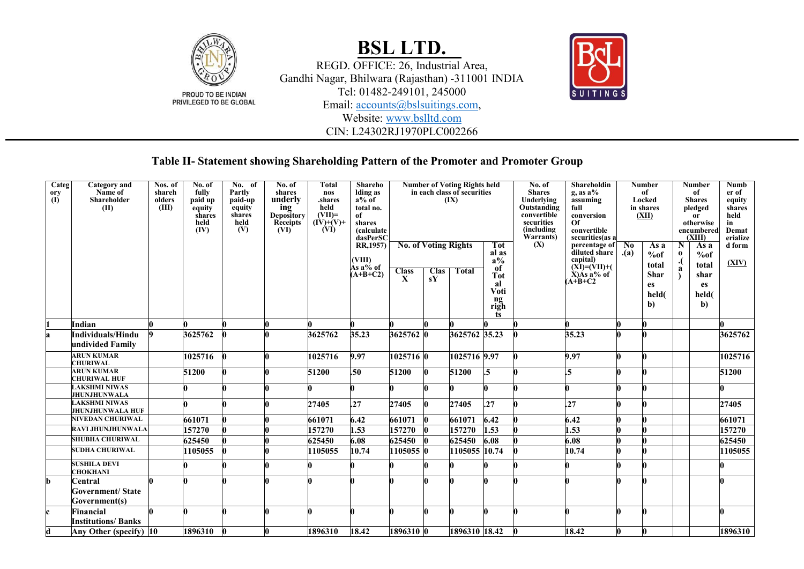

REGD. OFFICE: 26, Industrial Area, Gandhi Nagar, Bhilwara (Rajasthan) -311001 INDIA Tel: 01482-249101, 245000

Email: [accounts@bslsuitings.com,](mailto:accounts@bslsuitings.com)

Website: [www.bslltd.com](http://www.bslltd.com/)

CIN: L24302RJ1970PLC002266



#### **Table II- Statement showing Shareholding Pattern of the Promoter and Promoter Group**

| Categ<br>ory<br>$\overline{(\mathbf{0})}$ | <b>Category</b> and<br>Name of<br><b>Shareholder</b><br>(II) | Nos. of<br>shareh<br>olders<br>(III) | No. of<br>fully<br>paid up<br>equity<br>shares<br>held<br>(IV) | No. of<br>Partly<br>paid-up<br>equity<br>shares<br>held<br>(V) | No. of<br>shares<br>underly<br>ing<br>Depository<br>Receipts<br>(VI) <sup>-</sup> | <b>Total</b><br>nos<br>.shares<br>held<br>$(VII)=$<br>$(\dot{IV})+(V)+$<br>(VI) | Shareho<br>Iding as<br>$a\%$ of<br>total no.<br>of<br>shares<br><i>(calculate)</i><br>dasPerSC |                                                  |                   | <b>Number of Voting Rights held</b><br>in each class of securities<br>(IX) |                                                                                     | No. of<br><b>Shares</b><br>Underlying<br>Outstanding<br>convertible<br>securities<br>(including<br>Warrants) | Shareholdin<br>$g$ , as $a\%$<br>assuming<br>full<br>conversion<br><b>Of</b><br>convertible<br>securities(as a  |                       | <b>Number</b><br>of<br>Locked<br>in shares<br>(XII)      |                     | <b>Number</b><br>of<br><b>Shares</b><br>pledged<br>0r<br>otherwise<br>encumbered<br>(XIII) | <b>Numb</b><br>er of<br>equity<br>shares<br>held<br>in<br>Demat<br>erialize |
|-------------------------------------------|--------------------------------------------------------------|--------------------------------------|----------------------------------------------------------------|----------------------------------------------------------------|-----------------------------------------------------------------------------------|---------------------------------------------------------------------------------|------------------------------------------------------------------------------------------------|--------------------------------------------------|-------------------|----------------------------------------------------------------------------|-------------------------------------------------------------------------------------|--------------------------------------------------------------------------------------------------------------|-----------------------------------------------------------------------------------------------------------------|-----------------------|----------------------------------------------------------|---------------------|--------------------------------------------------------------------------------------------|-----------------------------------------------------------------------------|
|                                           |                                                              |                                      |                                                                |                                                                |                                                                                   |                                                                                 | RR,1957)<br>(VIII)<br>Às a% of<br>$(A+B+C2)$                                                   | <b>No. of Voting Rights</b><br>$\frac{Class}{X}$ | <b>Clas</b><br>sY | <b>Total</b>                                                               | Tot<br>al as<br>$a\%$<br>of<br><b>Tot</b><br>al<br>Voti<br>$\frac{ng}{right}$<br>ts | (X)                                                                                                          | percentage of<br>diluted share<br>capital)<br>$(XI)=(VII)+(VII)$<br>$\angle X$ ) $\angle A$ s a% of<br>$A+B+C2$ | N <sub>0</sub><br>(a) | As a<br>%of<br>total<br><b>Shar</b><br>es<br>held(<br>b) | N.<br>$\bf{0}$<br>a | As a<br>%of<br>total<br>shar<br>es<br>held(<br>$\mathbf{b}$                                | d form<br>(XIV)                                                             |
|                                           | Indian                                                       |                                      |                                                                |                                                                |                                                                                   |                                                                                 |                                                                                                |                                                  |                   |                                                                            |                                                                                     |                                                                                                              |                                                                                                                 |                       |                                                          |                     |                                                                                            |                                                                             |
| a                                         | Individuals/Hindu                                            |                                      | 3625762                                                        |                                                                |                                                                                   | 3625762                                                                         | 35.23                                                                                          | 3625762 0                                        |                   | 3625762 35.23                                                              |                                                                                     |                                                                                                              | 35.23                                                                                                           |                       |                                                          |                     |                                                                                            | 3625762                                                                     |
|                                           | undivided Family                                             |                                      |                                                                |                                                                |                                                                                   |                                                                                 |                                                                                                |                                                  |                   |                                                                            |                                                                                     |                                                                                                              |                                                                                                                 |                       |                                                          |                     |                                                                                            |                                                                             |
|                                           | <b>ARUN KUMAR</b><br><b>CHURIWAL</b>                         |                                      | 1025716                                                        |                                                                |                                                                                   | 1025716                                                                         | 9.97                                                                                           | 1025716 0                                        |                   | 1025716 9.97                                                               |                                                                                     | 0                                                                                                            | 9.97                                                                                                            |                       |                                                          |                     |                                                                                            | 1025716                                                                     |
|                                           | <b>ARUN KUMAR</b><br><b>CHURIWAL HUF</b>                     |                                      | 51200                                                          |                                                                |                                                                                   | 51200                                                                           | .50                                                                                            | 51200                                            |                   | 51200                                                                      | $\overline{.5}$                                                                     |                                                                                                              | $\overline{.5}$                                                                                                 |                       |                                                          |                     |                                                                                            | 51200                                                                       |
|                                           | <b>LAKSHMI NIWAS</b><br><b>JHUNJHUNWALA</b>                  |                                      |                                                                |                                                                |                                                                                   |                                                                                 |                                                                                                |                                                  |                   |                                                                            |                                                                                     |                                                                                                              |                                                                                                                 |                       |                                                          |                     |                                                                                            |                                                                             |
|                                           | <b>LAKSHMI NIWAS</b><br><b>JHUNJHUNWALA HUF</b>              |                                      |                                                                |                                                                |                                                                                   | 27405                                                                           | .27                                                                                            | 27405                                            |                   | 27405                                                                      | .27                                                                                 |                                                                                                              | .27                                                                                                             |                       |                                                          |                     |                                                                                            | 27405                                                                       |
|                                           | <b>NIVEDAN CHURIWAL</b>                                      |                                      | 661071                                                         |                                                                |                                                                                   | 661071                                                                          | 6.42                                                                                           | 661071                                           |                   | 661071                                                                     | 6.42                                                                                |                                                                                                              | 6.42                                                                                                            |                       |                                                          |                     |                                                                                            | 661071                                                                      |
|                                           | <b>RAVI JHUNJHUNWALA</b>                                     |                                      | 157270                                                         |                                                                |                                                                                   | 157270                                                                          | 1.53                                                                                           | 157270                                           |                   | 157270                                                                     | 1.53                                                                                |                                                                                                              | 1.53                                                                                                            |                       |                                                          |                     |                                                                                            | 157270                                                                      |
|                                           | <b>SHUBHA CHURIWAL</b>                                       |                                      | 625450                                                         |                                                                |                                                                                   | 625450                                                                          | 6.08                                                                                           | 625450                                           |                   | 625450                                                                     | 6.08                                                                                |                                                                                                              | 6.08                                                                                                            |                       |                                                          |                     |                                                                                            | 625450                                                                      |
|                                           | <b>SUDHA CHURIWAL</b>                                        |                                      | 1105055                                                        |                                                                |                                                                                   | 1105055                                                                         | 10.74                                                                                          | 1105055                                          |                   | 1105055 10.74                                                              |                                                                                     | n                                                                                                            | 10.74                                                                                                           |                       |                                                          |                     |                                                                                            | 1105055                                                                     |
|                                           | <b>SUSHILA DEVI</b><br><b>CHOKHANI</b>                       |                                      |                                                                |                                                                |                                                                                   |                                                                                 |                                                                                                |                                                  |                   |                                                                            |                                                                                     |                                                                                                              |                                                                                                                 |                       |                                                          |                     |                                                                                            |                                                                             |
| b                                         | Central<br><b>Government/ State</b><br>Government(s)         |                                      |                                                                |                                                                |                                                                                   |                                                                                 |                                                                                                |                                                  |                   |                                                                            |                                                                                     |                                                                                                              |                                                                                                                 |                       |                                                          |                     |                                                                                            |                                                                             |
| $\mathbf c$                               | Financial<br><b>Institutions/Banks</b>                       |                                      |                                                                |                                                                |                                                                                   |                                                                                 |                                                                                                |                                                  |                   |                                                                            |                                                                                     |                                                                                                              |                                                                                                                 |                       |                                                          |                     |                                                                                            |                                                                             |
| d                                         | Any Other (specify) 10                                       |                                      | 1896310                                                        |                                                                |                                                                                   | 1896310                                                                         | 18.42                                                                                          | 1896310 0                                        |                   | 1896310 18.42                                                              |                                                                                     | $\bf{0}$                                                                                                     | 18.42                                                                                                           | n.                    |                                                          |                     |                                                                                            | 1896310                                                                     |
|                                           |                                                              |                                      |                                                                |                                                                |                                                                                   |                                                                                 |                                                                                                |                                                  |                   |                                                                            |                                                                                     |                                                                                                              |                                                                                                                 |                       |                                                          |                     |                                                                                            |                                                                             |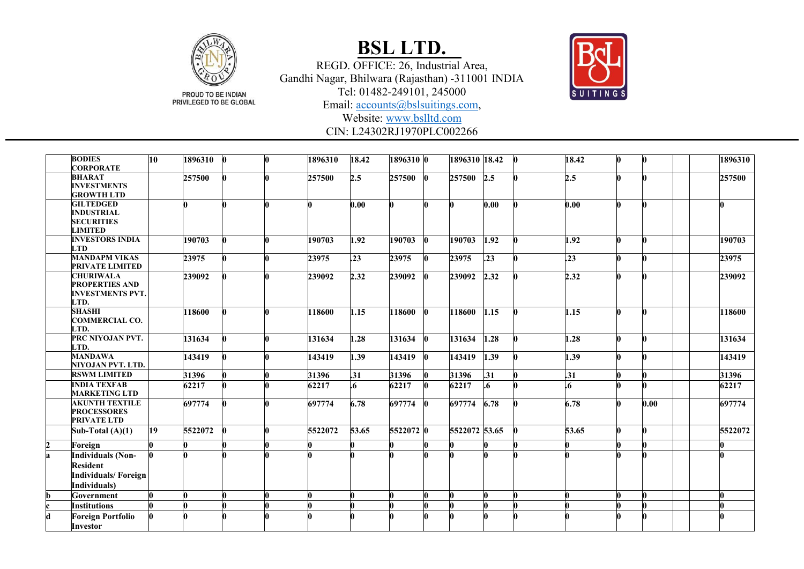

REGD. OFFICE: 26, Industrial Area, Gandhi Nagar, Bhilwara (Rajasthan) -311001 INDIA Tel: 01482 -249101, 245000



Email: [accounts@bslsuitings.com,](mailto:accounts@bslsuitings.com)

Website: [www.bslltd.com](http://www.bslltd.com/)

CIN: L24302RJ1970PLC002266

|                | <b>BODIES</b><br><b>CORPORATE</b>                                                  | 10 <sup>10</sup> | 1896310 | l0 | l0. | 1896310 | 18.42             | 1896310 0 |              | 1896310 18.42 |      | $\bf{0}$ | 18.42            | $\mathbf{0}$ |      | 1896310 |
|----------------|------------------------------------------------------------------------------------|------------------|---------|----|-----|---------|-------------------|-----------|--------------|---------------|------|----------|------------------|--------------|------|---------|
|                | <b>BHARAT</b><br><b>INVESTMENTS</b><br><b>GROWTH LTD</b>                           |                  | 257500  |    |     | 257500  | 2.5               | 257500 0  |              | 257500 2.5    |      | n        | 2.5              |              |      | 257500  |
|                | <b>GILTEDGED</b><br><b>INDUSTRIAL</b><br><b>SECURITIES</b><br><b>LIMITED</b>       |                  |         |    |     |         | 0.00              |           | 0            |               | 0.00 |          | 0.00             |              |      |         |
|                | <b>INVESTORS INDIA</b><br><b>LTD</b>                                               |                  | 190703  |    |     | 190703  | $\overline{1.92}$ | 190703    | $\mathbf{0}$ | 190703        | 1.92 |          | 1.92             |              |      | 190703  |
|                | <b>MANDAPM VIKAS</b><br>PRIVATE LIMITED                                            |                  | 23975   |    |     | 23975   | .23               | 23975     | $\mathbf{0}$ | 23975         | .23  | n        | $\overline{.23}$ |              |      | 23975   |
|                | <b>CHURIWALA</b><br><b>PROPERTIES AND</b><br><b>INVESTMENTS PVT.</b><br>LTD.       |                  | 239092  |    |     | 239092  | 2.32              | 239092    | $\mathbf{0}$ | 239092 2.32   |      |          | 2.32             |              |      | 239092  |
|                | <b>SHASHI</b><br><b>COMMERCIAL CO.</b><br>LTD.                                     |                  | 118600  |    |     | 118600  | $\overline{1.15}$ | 118600    | $\bf{0}$     | 118600        | 1.15 |          | 1.15             |              |      | 118600  |
|                | PRC NIYOJAN PVT.<br>LTD.                                                           |                  | 131634  |    |     | 131634  | 1.28              | 131634    | $\bf{0}$     | 131634        | 1.28 | O.       | 1.28             |              |      | 131634  |
|                | <b>MANDAWA</b><br><b>NIYOJAN PVT. LTD.</b>                                         |                  | 143419  |    |     | 143419  | 1.39              | 143419    | $\bf{0}$     | 143419        | 1.39 |          | 1.39             |              |      | 143419  |
|                | <b>RSWM LIMITED</b>                                                                |                  | 31396   |    |     | 31396   | .31               | 31396     | 0            | 31396         | .31  |          | $\overline{.31}$ |              |      | 31396   |
|                | <b>INDIA TEXFAB</b><br><b>MARKETING LTD</b>                                        |                  | 62217   |    |     | 62217   | .6                | 62217     | $\mathbf{0}$ | 62217         | .6   |          | 6.               |              |      | 62217   |
|                | <b>AKUNTH TEXTILE</b><br><b>PROCESSORES</b><br>PRIVATE LTD                         |                  | 697774  |    |     | 697774  | 6.78              | 697774    | $\mathbf{0}$ | 697774 6.78   |      |          | 6.78             |              | 0.00 | 697774  |
|                | Sub-Total $(A)(1)$                                                                 | 19               | 5522072 |    |     | 5522072 | 53.65             | 5522072 0 |              | 5522072 53.65 |      |          | 53.65            |              | Λ.   | 5522072 |
| $\overline{c}$ | Foreign                                                                            |                  |         |    |     |         |                   |           |              |               |      |          |                  |              |      |         |
| a              | <b>Individuals (Non-</b><br><b>Resident</b><br>Individuals/Foreign<br>Individuals) |                  |         |    |     |         |                   |           |              |               |      |          |                  |              |      |         |
| h              | Government                                                                         |                  |         |    |     |         |                   |           | U            |               |      |          |                  |              |      |         |
|                | <b>Institutions</b>                                                                |                  |         |    |     |         |                   |           |              |               |      |          |                  |              |      |         |
| d              | <b>Foreign Portfolio</b><br>Investor                                               |                  |         |    |     |         |                   |           |              |               |      |          |                  |              |      |         |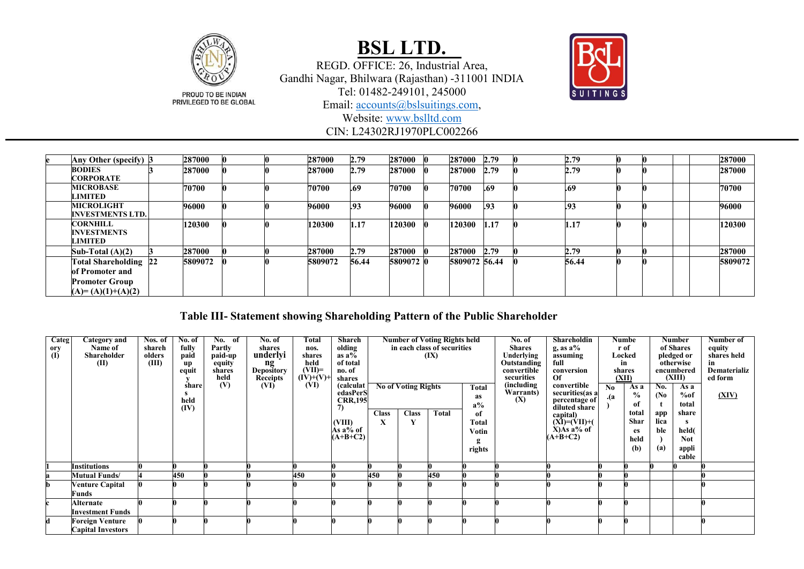

REGD. OFFICE: 26, Industrial Area, Gandhi Nagar, Bhilwara (Rajasthan) -311001 INDIA Tel: 01482-249101, 245000



Email: [accounts@bslsuitings.com,](mailto:accounts@bslsuitings.com)

Website: [www.bslltd.com](http://www.bslltd.com/)

CIN: L24302RJ1970PLC002266

| Any Other (specify) 3                                                                    | 287000  |  | 287000  | 2.79  | 287000    | 287000 2.79   |      | 2.79       |  |  | 287000  |
|------------------------------------------------------------------------------------------|---------|--|---------|-------|-----------|---------------|------|------------|--|--|---------|
| <b>BODIES</b><br><b>CORPORATE</b>                                                        | 287000  |  | 287000  | 2.79  | 287000    | 287000        | 2.79 | 2.79       |  |  | 287000  |
| <b>MICROBASE</b><br>LIMITED                                                              | 70700   |  | 70700   | .69   | 70700     | 70700         | .69  | .69        |  |  | 70700   |
| <b>MICROLIGHT</b><br><b>INVESTMENTS LTD.</b>                                             | 96000   |  | 96000   | .93   | 96000     | 96000         | .93  | <b>193</b> |  |  | 96000   |
| <b>CORNHILL</b><br><b>INVESTMENTS</b><br><b>LIMITED</b>                                  | 120300  |  | 120300  | 1.17  | 120300    | 120300        | 1.17 | 1.17       |  |  | 120300  |
| Sub-Total $(A)(2)$                                                                       | 287000  |  | 287000  | 2.79  | 287000    | 287000 2.79   |      | 2.79       |  |  | 287000  |
| Total Shareholding 22<br>of Promoter and<br><b>Promoter Group</b><br>$(A)=(A)(1)+(A)(2)$ | 5809072 |  | 5809072 | 56.44 | 5809072 0 | 5809072 56.44 |      | 56.44      |  |  | 5809072 |

#### **Table III- Statement showing Shareholding Pattern of the Public Shareholder**

| Categ             | Category and             | Nos. $of$ | No. of | No. of         | No. of           | Total            | Shareh           |              |                            | <b>Number of Voting Rights held</b> |             | No. of                     | Shareholdin                       |     | Numbe           |      | <b>Number</b>        | Number of               |
|-------------------|--------------------------|-----------|--------|----------------|------------------|------------------|------------------|--------------|----------------------------|-------------------------------------|-------------|----------------------------|-----------------------------------|-----|-----------------|------|----------------------|-------------------------|
| $\frac{0ry}{(I)}$ | Name of                  | shareh    | fully  | Partly         | shares           | nos.             | olding           |              |                            | in each class of securities         |             | <b>Shares</b>              | $g$ , as $a\%$                    |     | r of            |      | of Shares            | equity                  |
|                   | Shareholder              | olders    | paid   | paid-up        | underlyi         | shares           | as $a\bar{b}$    |              |                            | (IX)                                |             | Underlying                 | assuming                          |     | Locked          |      | pledged or           | shares held             |
|                   | (II)                     | (III)     | up     | equity         | ng<br>Depository | held<br>$(VII)=$ | of total         |              |                            |                                     |             | Outstanding<br>convertible | full                              |     | in              |      | otherwise            | in                      |
|                   |                          |           | equit  | shares<br>held | <b>Receipts</b>  | $(IV)+(V)$ +     | no. of<br>shares |              |                            |                                     |             | securities                 | conversion<br>Of                  |     | shares<br>(XII) |      | encumbered<br>(XIII) | Dematerializ<br>ed form |
|                   |                          |           | share  | (V)            | (VI)             | (VI)             | (calculat        |              | <b>No of Voting Rights</b> |                                     | Total       | (including)                | convertible                       | No  | As a            | No.  | As a                 |                         |
|                   |                          |           |        |                |                  |                  | edasPerS         |              |                            |                                     |             | Warrants)                  | securities(as a                   |     | $\%$            | (No  | %of                  | (XIV)                   |
|                   |                          |           | held   |                |                  |                  | <b>CRR,195</b>   |              |                            |                                     | as<br>$a\%$ | (X)                        | percentage of                     | .(a | of              |      | total                |                         |
|                   |                          |           | (IV)   |                |                  |                  | 7)               | <b>Class</b> | <b>Class</b>               | <b>Total</b>                        | of          |                            | diluted share                     |     | total           | app  | share                |                         |
|                   |                          |           |        |                |                  |                  | (VIII)           | X            |                            |                                     | Total       |                            | capital)                          |     | Shar            | lica |                      |                         |
|                   |                          |           |        |                |                  |                  | Às a% of         |              |                            |                                     | Votin       |                            |                                   |     | es              | ble  | held(                |                         |
|                   |                          |           |        |                |                  |                  | $(A+B+C2)$       |              |                            |                                     |             |                            | $(XI)=(VII)+(X)As a% of (A+B+C2)$ |     | held            |      | <b>Not</b>           |                         |
|                   |                          |           |        |                |                  |                  |                  |              |                            |                                     | rights      |                            |                                   |     | (b)             | (a)  | appli                |                         |
|                   |                          |           |        |                |                  |                  |                  |              |                            |                                     |             |                            |                                   |     |                 |      | cable                |                         |
|                   | Institutions             |           |        |                |                  |                  |                  |              |                            |                                     |             |                            |                                   |     |                 |      |                      |                         |
|                   | Mutual Funds/            |           | 450    |                |                  | 450              |                  | 450          |                            | 450                                 |             |                            |                                   |     |                 |      |                      |                         |
|                   | <b>Venture Capital</b>   |           |        |                |                  |                  |                  |              |                            |                                     |             |                            |                                   |     |                 |      |                      |                         |
|                   | Funds                    |           |        |                |                  |                  |                  |              |                            |                                     |             |                            |                                   |     |                 |      |                      |                         |
|                   | Alternate                |           |        |                |                  |                  |                  |              |                            |                                     |             |                            |                                   |     |                 |      |                      |                         |
|                   | <b>Investment Funds</b>  |           |        |                |                  |                  |                  |              |                            |                                     |             |                            |                                   |     |                 |      |                      |                         |
|                   | Foreign Venture          |           |        |                |                  |                  |                  |              |                            |                                     |             |                            |                                   |     |                 |      |                      |                         |
|                   | <b>Capital Investors</b> |           |        |                |                  |                  |                  |              |                            |                                     |             |                            |                                   |     |                 |      |                      |                         |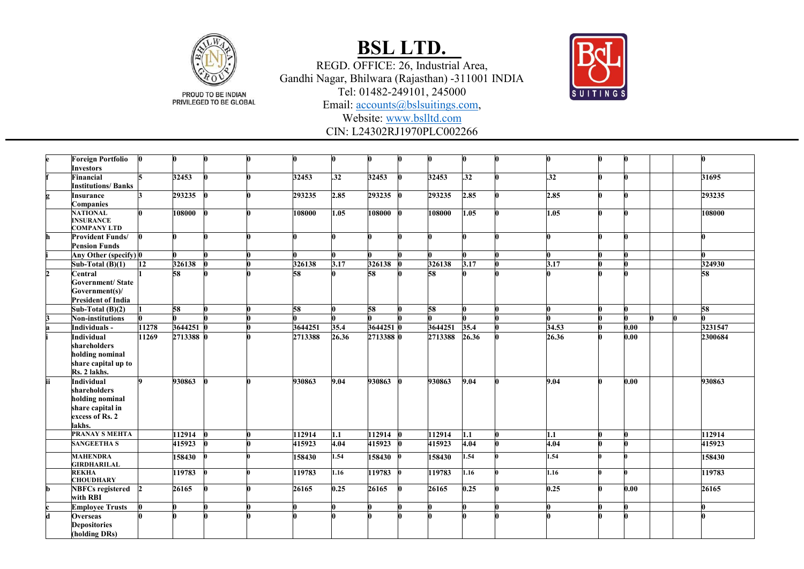

REGD. OFFICE: 26, Industrial Area, Gandhi Nagar, Bhilwara (Rajasthan) -311001 INDIA Tel: 01482 -249101, 245000



Email: [accounts@bslsuitings.com,](mailto:accounts@bslsuitings.com)

Website: [www.bslltd.com](http://www.bslltd.com/)

CIN: L24302RJ1970PLC002266

|              | <b>Foreign Portfolio</b>                        |       |           |  | 0       |                  |           |         |             |       |      |         |
|--------------|-------------------------------------------------|-------|-----------|--|---------|------------------|-----------|---------|-------------|-------|------|---------|
|              | <b>Investors</b>                                |       |           |  |         |                  |           |         |             |       |      |         |
|              | <b>Financial</b>                                |       | 32453     |  | 32453   | $\overline{.32}$ | 32453     | 32453   | 32          | .32   |      | 31695   |
|              | <b>Institutions/Banks</b>                       |       |           |  |         |                  |           |         |             |       |      |         |
|              | <b>Insurance</b>                                |       | 293235    |  | 293235  | 2.85             | 293235    | 293235  | 2.85        | 2.85  |      | 293235  |
|              | <b>Companies</b>                                |       |           |  |         |                  |           |         |             |       |      |         |
|              | <b>NATIONAL</b>                                 |       | 108000    |  | 108000  | 1.05             | 108000 0  | 108000  | 1.05        | 1.05  |      | 108000  |
|              | <b>INSURANCE</b>                                |       |           |  |         |                  |           |         |             |       |      |         |
|              | <b>COMPANY LTD</b>                              |       |           |  | 0       |                  |           |         |             |       |      |         |
|              | <b>Provident Funds/</b><br><b>Pension Funds</b> |       |           |  |         |                  |           |         |             |       |      |         |
|              |                                                 |       |           |  |         |                  |           |         |             |       |      |         |
|              | Any Other (specify) 0                           |       |           |  |         |                  |           |         |             |       |      |         |
|              | Sub-Total $(B)(1)$                              | 12    | 326138    |  | 326138  | 3.17             | 326138    | 326138  | 3.17        | 3.17  |      | 324930  |
| $\mathbf{r}$ | Central                                         |       | 58        |  | 58      |                  | 58        | 58      |             |       |      | 58      |
|              | <b>Government/State</b>                         |       |           |  |         |                  |           |         |             |       |      |         |
|              | Government(s)/                                  |       |           |  |         |                  |           |         |             |       |      |         |
|              | <b>President of India</b>                       |       |           |  |         |                  |           |         |             |       |      |         |
|              | Sub-Total $(B)(2)$                              |       | 58        |  | 58      |                  | 58        | 58      |             |       |      | 58      |
|              | <b>Non-institutions</b>                         |       |           |  |         |                  |           |         |             |       |      |         |
|              | Individuals -                                   | 11278 | 3644251 0 |  | 3644251 | 35.4             | 3644251 0 | 3644251 | 35.4        | 34.53 | 0.00 | 3231547 |
|              | <b>Individual</b>                               | 11269 | 2713388 0 |  | 2713388 | 26.36            | 2713388 0 | 2713388 | 26.36       | 26.36 | 0.00 | 2300684 |
|              | shareholders                                    |       |           |  |         |                  |           |         |             |       |      |         |
|              | holding nominal                                 |       |           |  |         |                  |           |         |             |       |      |         |
|              | share capital up to                             |       |           |  |         |                  |           |         |             |       |      |         |
|              | Rs. 2 lakhs.                                    |       |           |  |         |                  |           |         |             |       |      |         |
| ii           | Individual                                      |       | 930863    |  | 930863  | 9.04             | 930863    | 930863  | 9.04        | 9.04  | 0.00 | 930863  |
|              | shareholders                                    |       |           |  |         |                  |           |         |             |       |      |         |
|              | holding nominal                                 |       |           |  |         |                  |           |         |             |       |      |         |
|              | share capital in<br>excess of Rs. 2             |       |           |  |         |                  |           |         |             |       |      |         |
|              | lakhs.                                          |       |           |  |         |                  |           |         |             |       |      |         |
|              | <b>PRANAY S MEHTA</b>                           |       |           |  |         |                  |           |         |             |       |      |         |
|              | <b>SANGEETHA S</b>                              |       | 112914    |  | 112914  | 1.1              | 112914    | 112914  | 1.1<br>4.04 | 1.1   |      | 112914  |
|              |                                                 |       | 415923    |  | 415923  | 4.04             | 415923    | 415923  |             | 4.04  |      | 415923  |
|              | <b>MAHENDRA</b>                                 |       | 158430    |  | 158430  | 1.54             | 158430    | 158430  | 1.54        | 1.54  |      | 158430  |
|              | <b>GIRDHARILAL</b>                              |       |           |  |         |                  |           |         |             |       |      |         |
|              | <b>REKHA</b>                                    |       | 119783    |  | 119783  | 1.16             | 119783    | 119783  | 1.16        | 1.16  |      | 119783  |
|              | <b>CHOUDHARY</b>                                |       | 26165     |  | 26165   | 0.25             | 26165     | 26165   | 0.25        | 0.25  | 0.00 | 26165   |
|              | <b>NBFCs registered</b><br>with RBI             |       |           |  |         |                  |           |         |             |       |      |         |
|              |                                                 |       |           |  | 0       |                  |           |         |             |       |      |         |
| H            | <b>Employee Trusts</b>                          |       |           |  |         |                  |           |         |             |       |      |         |
|              | <b>Overseas</b>                                 |       |           |  |         |                  |           |         |             |       |      |         |
|              | <b>Depositories</b>                             |       |           |  |         |                  |           |         |             |       |      |         |
|              | (holding DRs)                                   |       |           |  |         |                  |           |         |             |       |      |         |

PROUD TO BE INDIAN<br>PRIVILEGED TO BE GLOBAL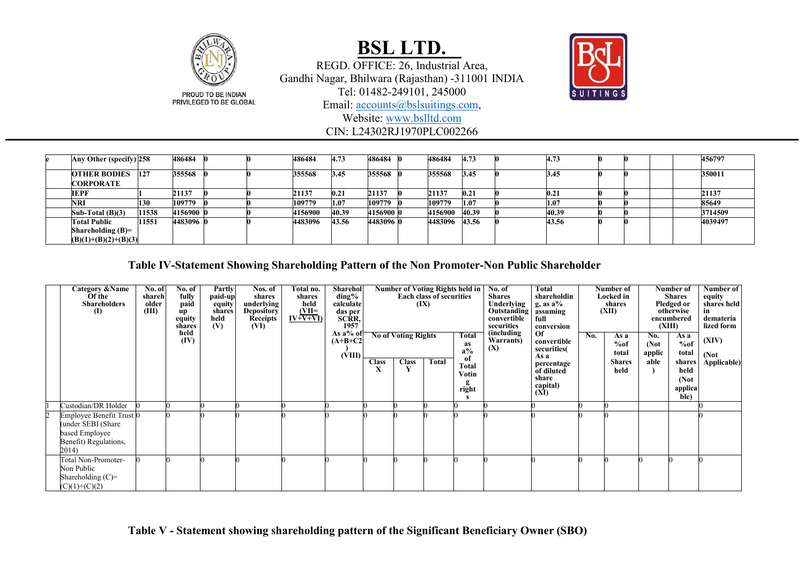

PRIVILEGED TO BE GLOBAL

## **BSL LTD.**

REGD. OFFICE: 26, Industrial Area, Gandhi Nagar, Bhilwara (Rajasthan) -311001 INDIA Tel: 01482-249101, 245000



Email: [accounts@bslsuitings.com,](mailto:accounts@bslsuitings.com)

Website: [www.bslltd.com](http://www.bslltd.com/)

CIN: L24302RJ1970PLC002266

| Any Other (specify) 258                                              |       | 486484    |  | 486484  | 4.73  | 486484    | 486484  | 4.73  | 4.73  |  | 456797  |
|----------------------------------------------------------------------|-------|-----------|--|---------|-------|-----------|---------|-------|-------|--|---------|
| <b>OTHER BODIES</b><br><b>CORPORATE</b>                              | 127   | 355568    |  | 355568  | 3.45  | 355568    | 355568  | 3.45  | 3.45  |  | 350011  |
| <b>IEPF</b>                                                          |       | 21137     |  | 21137   | 0.21  | 21137     | 21137   | 0.21  | 0.21  |  | 21137   |
| <b>NRI</b>                                                           | 130   | 109779    |  | 109779  | 1.07  | 109779    | 109779  | 1.07  | 1.07  |  | 85649   |
| Sub-Total $(B)(3)$                                                   | 11538 | 4156900 0 |  | 4156900 | 40.39 | 4156900 0 | 4156900 | 40.39 | 40.39 |  | 3714509 |
| <b>Total Public</b><br>Shareholding $(B)=$<br>$(B)(1)+(B)(2)+(B)(3)$ | 11551 | 4483096 0 |  | 4483096 | 43.56 | 4483096 0 | 4483096 | 43.56 | 43.56 |  | 4039497 |

**Table IV-Statement Showing Shareholding Pattern of the Non Promoter-Non Public Shareholder**

| Category & Name<br>Of the<br><b>Shareholders</b><br>$\mathbf{I}$                                             | No. of<br>shareh<br>older<br>(III) | No. of<br>fully<br>paid<br>up<br>equity<br>shares | Partly<br>paid-up<br>equity<br>shares<br>held<br>(V) | Nos. of<br>shares<br>underlying<br><b>Depository</b><br><b>Receipts</b><br>(VI) | Total no.<br>shares<br>held<br>$\frac{\text{(VII=}}{\text{IV+V+VI}}$ | Sharehol<br>$\mathrm{ding}\%$<br>calculate<br>das per<br>SCRR,<br>1957 |                   |                                            | Number of Voting Rights held in<br><b>Each class of securities</b><br>(IX) |                                                       | No. of<br><b>Shares</b><br>Underlying<br>Outstanding<br>convertible<br>securities | Total<br>shareholdin<br>$g$ , as a%<br>assuming<br>full<br>conversion                                   |     | Number of<br>Locked in<br>shares<br>(XII)     |                                | Number of<br><b>Shares</b><br>Pledged or<br>otherwise<br>encumbered<br>(XIII) | Number of<br>equity<br>shares held<br>demateria<br>lized form |
|--------------------------------------------------------------------------------------------------------------|------------------------------------|---------------------------------------------------|------------------------------------------------------|---------------------------------------------------------------------------------|----------------------------------------------------------------------|------------------------------------------------------------------------|-------------------|--------------------------------------------|----------------------------------------------------------------------------|-------------------------------------------------------|-----------------------------------------------------------------------------------|---------------------------------------------------------------------------------------------------------|-----|-----------------------------------------------|--------------------------------|-------------------------------------------------------------------------------|---------------------------------------------------------------|
|                                                                                                              |                                    | held<br>(IV)                                      |                                                      |                                                                                 |                                                                      | As a% of<br>$(A+B+C2$<br>(VIII)                                        | <b>Class</b><br>X | <b>No of Voting Rights</b><br><b>Class</b> | Total                                                                      | Total<br>as<br>$a\%$<br>of<br>Total<br>Votin<br>right | (including<br>Warrants)<br>(X)                                                    | $\alpha$<br>convertible<br>securities(<br>As a<br>percentage<br>of diluted<br>share<br>capital)<br>(XI) | No. | As a<br>%of<br>total<br><b>Shares</b><br>held | No.<br>(Not)<br>applic<br>able | As a<br>%of<br>total<br>shares<br>held<br>(Not)<br>applica<br>ble)            | (XIV)<br>(Not)<br>Applicable)                                 |
| Custodian/DR Holder                                                                                          |                                    |                                                   |                                                      |                                                                                 |                                                                      |                                                                        |                   |                                            |                                                                            |                                                       |                                                                                   |                                                                                                         |     |                                               |                                |                                                                               |                                                               |
| Employee Benefit Trust <sup>0</sup><br>under SEBI (Share<br>based Employee<br>Benefit) Regulations,<br>2014) |                                    |                                                   |                                                      |                                                                                 |                                                                      |                                                                        |                   |                                            |                                                                            |                                                       |                                                                                   |                                                                                                         |     |                                               |                                |                                                                               |                                                               |
| Total Non-Promoter-<br>Non Public<br>Shareholding $(C)=$<br>$(C)(1)+(C)(2)$                                  |                                    |                                                   |                                                      |                                                                                 |                                                                      |                                                                        |                   |                                            |                                                                            |                                                       |                                                                                   |                                                                                                         |     |                                               |                                |                                                                               |                                                               |